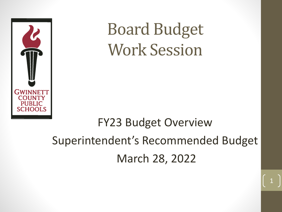

Board Budget Work Session

# FY23 Budget Overview Superintendent's Recommended Budget March 28, 2022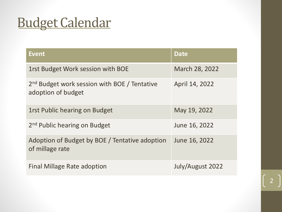# Budget Calendar

| <b>Event</b>                                                                   | <b>Date</b>      |
|--------------------------------------------------------------------------------|------------------|
| 1rst Budget Work session with BOE                                              | March 28, 2022   |
| 2 <sup>nd</sup> Budget work session with BOE / Tentative<br>adoption of budget | April 14, 2022   |
| 1rst Public hearing on Budget                                                  | May 19, 2022     |
| 2 <sup>nd</sup> Public hearing on Budget                                       | June 16, 2022    |
| Adoption of Budget by BOE / Tentative adoption<br>of millage rate              | June 16, 2022    |
| <b>Final Millage Rate adoption</b>                                             | July/August 2022 |

 $\mathcal{P}$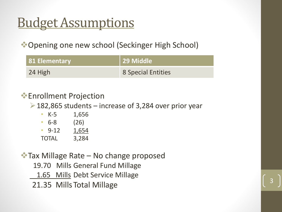# Budget Assumptions

❖Opening one new school (Seckinger High School)

| <b>81 Elementary</b> | 29 Middle          |
|----------------------|--------------------|
| 24 High              | 8 Special Entities |

- ❖Enrollment Projection
	- $\geq$  182,865 students increase of 3,284 over prior year

3

- K-5 1,656 • 6-8 (26) • 9-12 1,654
- TOTAL 3,284

❖Tax Millage Rate – No change proposed 19.70 Mills General Fund Millage 1.65 Mills Debt Service Millage

21.35 MillsTotal Millage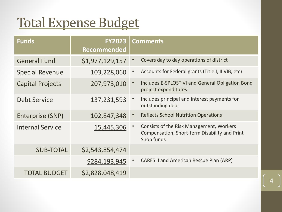## Total Expense Budget

| <b>Funds</b>            | <b>FY2023</b><br><b>Recommended</b> | <b>Comments</b>                                                                                         |
|-------------------------|-------------------------------------|---------------------------------------------------------------------------------------------------------|
| <b>General Fund</b>     | \$1,977,129,157                     | Covers day to day operations of district                                                                |
| <b>Special Revenue</b>  | 103,228,060                         | Accounts for Federal grants (Title I, II VIB, etc)                                                      |
| <b>Capital Projects</b> | 207,973,010                         | Includes E-SPLOST VI and General Obligation Bond<br>$\bullet$<br>project expenditures                   |
| <b>Debt Service</b>     | 137,231,593                         | Includes principal and interest payments for<br>outstanding debt                                        |
| Enterprise (SNP)        | 102,847,348                         | <b>Reflects School Nutrition Operations</b>                                                             |
| <b>Internal Service</b> | 15,445,306                          | Consists of the Risk Management, Workers<br>Compensation, Short-term Disability and Print<br>Shop funds |
| <b>SUB-TOTAL</b>        | \$2,543,854,474                     |                                                                                                         |
|                         | \$284,193,945                       | <b>CARES II and American Rescue Plan (ARP)</b>                                                          |
| <b>TOTAL BUDGET</b>     | \$2,828,048,419                     |                                                                                                         |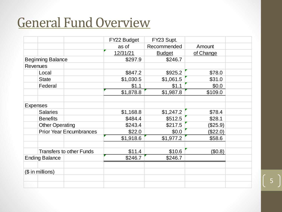#### General Fund Overview

|                 |                          |                                 | FY22 Budget | FY23 Supt.    |           |  |
|-----------------|--------------------------|---------------------------------|-------------|---------------|-----------|--|
|                 |                          |                                 | as of       | Recommended   | Amount    |  |
|                 |                          |                                 | 12/31/21    | <b>Budget</b> | of Change |  |
|                 | <b>Beginning Balance</b> |                                 | \$297.9     | \$246.7       |           |  |
| <b>Revenues</b> |                          |                                 |             |               |           |  |
|                 | Local                    |                                 | \$847.2     | \$925.2       | \$78.0    |  |
|                 | <b>State</b>             |                                 | \$1,030.5   | \$1,061.5     | \$31.0    |  |
|                 | Federal                  |                                 | \$1.1       | \$1.1         | \$0.0     |  |
|                 |                          |                                 | \$1,878.8   | \$1,987.8     | \$109.0   |  |
|                 |                          |                                 |             |               |           |  |
| <b>Expenses</b> |                          |                                 |             |               |           |  |
|                 | <b>Salaries</b>          |                                 | \$1,168.8   | \$1,247.2     | \$78.4    |  |
|                 | <b>Benefits</b>          |                                 | \$484.4     | \$512.5       | \$28.1    |  |
|                 | <b>Other Operating</b>   |                                 | \$243.4     | \$217.5       | (\$25.9)  |  |
|                 |                          | <b>Prior Year Encumbrances</b>  | \$22.0      | \$0.0\$       | (\$22.0)  |  |
|                 |                          |                                 | \$1,918.6   | \$1,977.2     | \$58.6    |  |
|                 |                          |                                 |             |               |           |  |
|                 |                          | <b>Transfers to other Funds</b> | \$11.4      | \$10.6        | (\$0.8)   |  |
|                 | <b>Ending Balance</b>    |                                 | \$246.7     | \$246.7       |           |  |
|                 |                          |                                 |             |               |           |  |
|                 | $($$ in millions)        |                                 |             |               |           |  |
|                 |                          |                                 |             |               |           |  |
|                 |                          |                                 |             |               |           |  |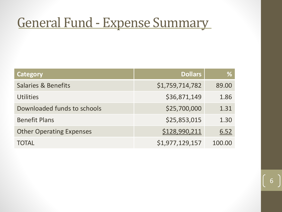#### General Fund - Expense Summary

| Category                        | <b>Dollars</b>  | %      |
|---------------------------------|-----------------|--------|
| <b>Salaries &amp; Benefits</b>  | \$1,759,714,782 | 89.00  |
| <b>Utilities</b>                | \$36,871,149    | 1.86   |
| Downloaded funds to schools     | \$25,700,000    | 1.31   |
| <b>Benefit Plans</b>            | \$25,853,015    | 1.30   |
| <b>Other Operating Expenses</b> | \$128,990,211   | 6.52   |
| <b>TOTAL</b>                    | \$1,977,129,157 | 100.00 |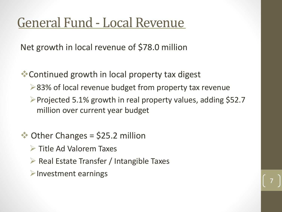#### General Fund - Local Revenue

Net growth in local revenue of \$78.0 million

❖Continued growth in local property tax digest

- ➢83% of local revenue budget from property tax revenue
- ➢Projected 5.1% growth in real property values, adding \$52.7 million over current year budget

- $\bullet$  Other Changes = \$25.2 million
	- ➢ Title Ad Valorem Taxes
	- ➢ Real Estate Transfer / Intangible Taxes
	- ➢Investment earnings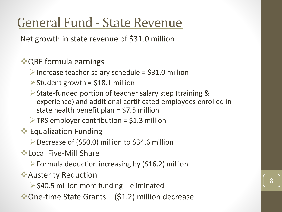#### General Fund - State Revenue

Net growth in state revenue of \$31.0 million

❖QBE formula earnings

 $\triangleright$  Increase teacher salary schedule = \$31.0 million

- $\triangleright$  Student growth = \$18.1 million
- ➢State-funded portion of teacher salary step (training & experience) and additional certificated employees enrolled in state health benefit plan = \$7.5 million

8

 $\triangleright$  TRS employer contribution = \$1.3 million

❖ Equalization Funding

➢Decrease of (\$50.0) million to \$34.6 million

❖Local Five-Mill Share

 $\triangleright$  Formula deduction increasing by (\$16.2) million

❖Austerity Reduction

 $\triangleright$  \$40.5 million more funding – eliminated

❖One-time State Grants – (\$1.2) million decrease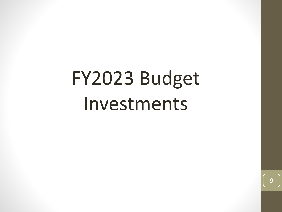# FY2023 Budget Investments

q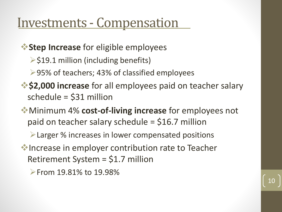#### Investments - Compensation

❖**Step Increase** for eligible employees

 $\ge$ \$19.1 million (including benefits)

➢95% of teachers; 43% of classified employees

❖**\$2,000 increase** for all employees paid on teacher salary schedule = \$31 million

❖Minimum 4% **cost-of-living increase** for employees not paid on teacher salary schedule = \$16.7 million

➢Larger % increases in lower compensated positions

❖Increase in employer contribution rate to Teacher Retirement System = \$1.7 million

➢From 19.81% to 19.98%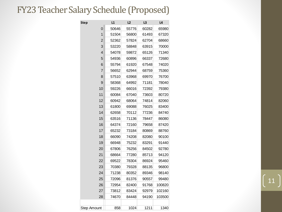#### FY23 Teacher Salary Schedule (Proposed)

| <b>Step</b>    | L1    | L2    | L3    | L4     |
|----------------|-------|-------|-------|--------|
| 0              | 50646 | 55776 | 60282 | 65980  |
| 1              | 51504 | 56800 | 61493 | 67320  |
| $\overline{2}$ | 52362 | 57824 | 62704 | 68660  |
| 3              | 53220 | 58848 | 63915 | 70000  |
| 4              | 54078 | 59872 | 65126 | 71340  |
| 5              | 54936 | 60896 | 66337 | 72680  |
| 6              | 55794 | 61920 | 67548 | 74020  |
| 7              | 56652 | 62944 | 68759 | 75360  |
| 8              | 57510 | 63968 | 69970 | 76700  |
| 9              | 58368 | 64992 | 71181 | 78040  |
| 10             | 59226 | 66016 | 72392 | 79380  |
| 11             | 60084 | 67040 | 73603 | 80720  |
| 12             | 60942 | 68064 | 74814 | 82060  |
| 13             | 61800 | 69088 | 76025 | 83400  |
| 14             | 62658 | 70112 | 77236 | 84740  |
| 15             | 63516 | 71136 | 78447 | 86080  |
| 16             | 64374 | 72160 | 79658 | 87420  |
| 17             | 65232 | 73184 | 80869 | 88760  |
| 18             | 66090 | 74208 | 82080 | 90100  |
| 19             | 66948 | 75232 | 83291 | 91440  |
| 20             | 67806 | 76256 | 84502 | 92780  |
| 21             | 68664 | 77280 | 85713 | 94120  |
| 22             | 69522 | 78304 | 86924 | 95460  |
| 23             | 70380 | 79328 | 88135 | 96800  |
| 24             | 71238 | 80352 | 89346 | 98140  |
| 25             | 72096 | 81376 | 90557 | 99480  |
| 26             | 72954 | 82400 | 91768 | 100820 |
| 27             | 73812 | 83424 | 92979 | 102160 |
| 28             | 74670 | 84448 | 94190 | 103500 |
|                |       |       |       |        |
| Step Amount    | 858   | 1024  | 1211  | 1340   |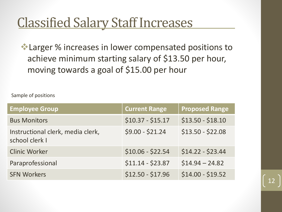#### **Classified Salary Staff Increases**

❖Larger % increases in lower compensated positions to achieve minimum starting salary of \$13.50 per hour, moving towards a goal of \$15.00 per hour

Sample of positions

| <b>Employee Group</b>                               | <b>Current Range</b> | <b>Proposed Range</b> |
|-----------------------------------------------------|----------------------|-----------------------|
| <b>Bus Monitors</b>                                 | $$10.37 - $15.17$    | $$13.50 - $18.10$     |
| Instructional clerk, media clerk,<br>school clerk I | $$9.00 - $21.24$     | $$13.50 - $22.08$     |
| <b>Clinic Worker</b>                                | $$10.06 - $22.54$    | $$14.22 - $23.44$     |
| Paraprofessional                                    | $$11.14 - $23.87$    | $$14.94 - 24.82$      |
| <b>SFN Workers</b>                                  | $$12.50 - $17.96$    | $$14.00 - $19.52$     |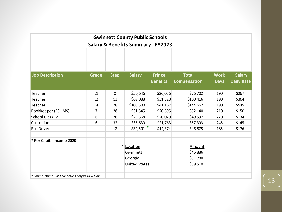|                                               |                                               |             | <b>Gwinnett County Public Schools</b> |                 |              |             |                   |
|-----------------------------------------------|-----------------------------------------------|-------------|---------------------------------------|-----------------|--------------|-------------|-------------------|
|                                               | <b>Salary &amp; Benefits Summary - FY2023</b> |             |                                       |                 |              |             |                   |
|                                               |                                               |             |                                       |                 |              |             |                   |
|                                               |                                               |             |                                       |                 |              |             |                   |
|                                               |                                               |             |                                       |                 |              |             |                   |
| <b>Job Description</b>                        | Grade                                         | <b>Step</b> | <b>Salary</b>                         | <b>Fringe</b>   | <b>Total</b> | <b>Work</b> | <b>Salary</b>     |
|                                               |                                               |             |                                       | <b>Benefits</b> | Compensation | <b>Days</b> | <b>Daily Rate</b> |
|                                               |                                               |             |                                       |                 |              |             |                   |
| Teacher                                       | L1                                            | $\mathbf 0$ | \$50,646                              | \$26,056        | \$76,702     | 190         | \$267             |
| Teacher                                       | L2                                            | 13          | \$69,088                              | \$31,328        | \$100,416    | 190         | \$364             |
| Teacher                                       | L4                                            | 28          | \$103,500                             | \$41,167        | \$144,667    | 190         | \$545             |
| Bookkeeper (ES, MS)                           | 7                                             | 28          | \$31,545                              | \$20,595        | \$52,140     | 210         | \$150             |
| School Clerk IV                               | 6                                             | 26          | \$29,568                              | \$20,029        | \$49,597     | 220         | \$134             |
| Custodian                                     | 6                                             | 32          | \$35,630                              | \$21,763        | \$57,393     | 245         | \$145             |
| <b>Bus Driver</b>                             |                                               | 12          | \$32,501                              | \$14,374        | \$46,875     | 185         | \$176             |
| * Per Capita Income 2020                      |                                               |             |                                       |                 |              |             |                   |
|                                               |                                               | $\ast$      | Location                              |                 | Amount       |             |                   |
|                                               |                                               |             | Gwinnett                              |                 | \$46,886     |             |                   |
|                                               |                                               |             | Georgia                               |                 | \$51,780     |             |                   |
|                                               |                                               |             | <b>United States</b>                  |                 | \$59,510     |             |                   |
|                                               |                                               |             |                                       |                 |              |             |                   |
| * Source: Bureau of Economic Analysis BEA.Gov |                                               |             |                                       |                 |              |             |                   |

 $\begin{pmatrix} 13 \end{pmatrix}$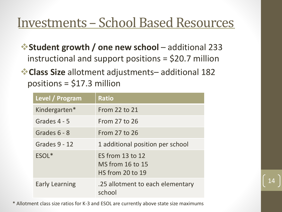#### Investments – School Based Resources

❖**Student growth / one new school** – additional 233 instructional and support positions = \$20.7 million

❖**Class Size** allotment adjustments– additional 182 positions = \$17.3 million

| Level / Program       | <b>Ratio</b>                                                    |
|-----------------------|-----------------------------------------------------------------|
| Kindergarten*         | From 22 to 21                                                   |
| Grades 4 - 5          | From 27 to 26                                                   |
| Grades 6 - 8          | From 27 to 26                                                   |
| Grades 9 - 12         | 1 additional position per school                                |
| ESOL <sup>*</sup>     | ES from 13 to 12<br>MS from 16 to 15<br><b>HS</b> from 20 to 19 |
| <b>Early Learning</b> | .25 allotment to each elementary<br>school                      |

\* Allotment class size ratios for K-3 and ESOL are currently above state size maximums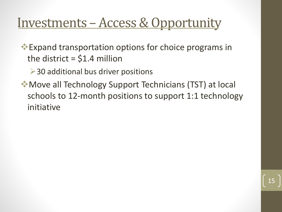#### Investments – Access & Opportunity

❖Expand transportation options for choice programs in the district  $=$  \$1.4 million

➢30 additional bus driver positions

❖Move all Technology Support Technicians (TST) at local schools to 12-month positions to support 1:1 technology initiative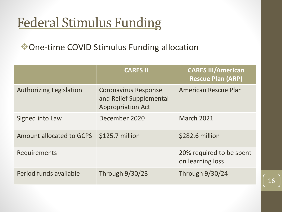### Federal Stimulus Funding

❖One-time COVID Stimulus Funding allocation

|                                | <b>CARES II</b>                                                                    | <b>CARES III/American</b><br><b>Rescue Plan (ARP)</b> |
|--------------------------------|------------------------------------------------------------------------------------|-------------------------------------------------------|
| <b>Authorizing Legislation</b> | <b>Coronavirus Response</b><br>and Relief Supplemental<br><b>Appropriation Act</b> | <b>American Rescue Plan</b>                           |
| Signed into Law                | December 2020                                                                      | <b>March 2021</b>                                     |
| Amount allocated to GCPS       | \$125.7 million                                                                    | \$282.6 million                                       |
| <b>Requirements</b>            |                                                                                    | 20% required to be spent<br>on learning loss          |
| Period funds available         | Through 9/30/23                                                                    | Through 9/30/24                                       |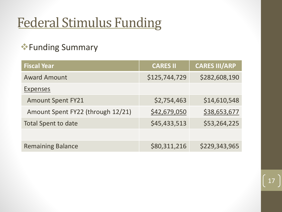## Federal Stimulus Funding

#### ❖Funding Summary

| <b>Fiscal Year</b>                | <b>CARES II</b> | <b>CARES III/ARP</b> |
|-----------------------------------|-----------------|----------------------|
| <b>Award Amount</b>               | \$125,744,729   | \$282,608,190        |
| <b>Expenses</b>                   |                 |                      |
| <b>Amount Spent FY21</b>          | \$2,754,463     | \$14,610,548         |
| Amount Spent FY22 (through 12/21) | \$42,679,050    | \$38,653,677         |
| <b>Total Spent to date</b>        | \$45,433,513    | \$53,264,225         |
|                                   |                 |                      |
| <b>Remaining Balance</b>          | \$80,311,216    | \$229,343,965        |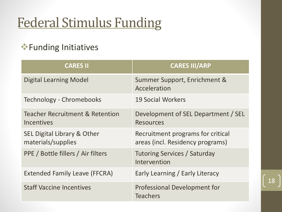## Federal Stimulus Funding

#### ❖Funding Initiatives

| <b>CARES II</b>                                                 | <b>CARES III/ARP</b>                                                  |
|-----------------------------------------------------------------|-----------------------------------------------------------------------|
| <b>Digital Learning Model</b>                                   | Summer Support, Enrichment &<br>Acceleration                          |
| Technology - Chromebooks                                        | <b>19 Social Workers</b>                                              |
| <b>Teacher Recruitment &amp; Retention</b><br><b>Incentives</b> | Development of SEL Department / SEL<br><b>Resources</b>               |
| SEL Digital Library & Other<br>materials/supplies               | Recruitment programs for critical<br>areas (incl. Residency programs) |
| PPE / Bottle fillers / Air filters                              | <b>Tutoring Services / Saturday</b><br>Intervention                   |
| <b>Extended Family Leave (FFCRA)</b>                            | Early Learning / Early Literacy                                       |
| <b>Staff Vaccine Incentives</b>                                 | Professional Development for<br><b>Teachers</b>                       |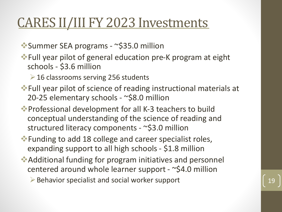#### CARES II/III FY 2023 Investments

❖Summer SEA programs - ~\$35.0 million

❖Full year pilot of general education pre-K program at eight schools - \$3.6 million

➢16 classrooms serving 256 students

❖Full year pilot of science of reading instructional materials at 20-25 elementary schools - ~\$8.0 million

❖Professional development for all K-3 teachers to build conceptual understanding of the science of reading and structured literacy components - ~\$3.0 million

❖Funding to add 18 college and career specialist roles, expanding support to all high schools - \$1.8 million

❖Additional funding for program initiatives and personnel centered around whole learner support - ~\$4.0 million

 $\triangleright$  Behavior specialist and social worker support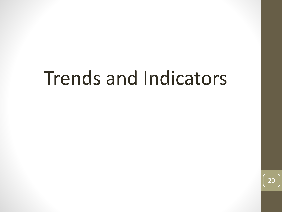# Trends and Indicators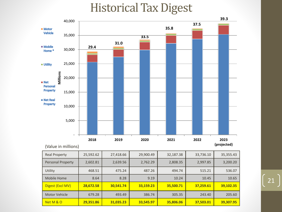#### Historical Tax Digest



| <b>Real Property</b> | 25,592.62 | 27,418.66 | 29,900.49 | 32,187.38 | 33,736.10 | 35,355.43 |
|----------------------|-----------|-----------|-----------|-----------|-----------|-----------|
| Personal Property    | 2,602.81  | 2,639.56  | 2,762.29  | 2,808.35  | 2,997.85  | 3,200.20  |
| Utility              | 468.51    | 475.24    | 487.26    | 494.74    | 515.21    | 536.07    |
| Mobile Home          | 8.64      | 8.28      | 9.19      | 10.24     | 10.45     | 10.65     |
| Digest (Excl MV)     | 28,672.58 | 30,541.74 | 33,159.23 | 35,500.71 | 37,259.61 | 39,102.35 |
| Motor Vehicle        | 679.28    | 493.49    | 386.74    | 305.35    | 243.40    | 205.60    |
| Net M & O            | 29,351.86 | 31,035.23 | 33,545.97 | 35,806.06 | 37,503.01 | 39,307.95 |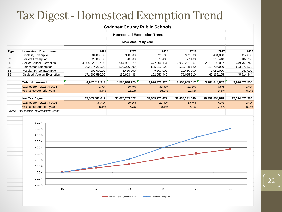#### Tax Digest - Homestead Exemption Trend

|                |                                             |                  |                | <b>Gwinnett County Public Schools</b> |                |                |                |  |  |  |  |
|----------------|---------------------------------------------|------------------|----------------|---------------------------------------|----------------|----------------|----------------|--|--|--|--|
|                | <b>Homestead Exemption Trend</b>            |                  |                |                                       |                |                |                |  |  |  |  |
|                | <b>M&amp;O Amount by Year</b>               |                  |                |                                       |                |                |                |  |  |  |  |
| <b>Type</b>    | <b>Homestead Exemptions</b>                 | 2021             | 2020           | 2019                                  | 2018           | 2017           | 2016           |  |  |  |  |
| L1             | <b>Disability Exemption</b>                 | 304,000.00       | 300,000        | 328,000                               | 352,000        | 404,000        | 412,000        |  |  |  |  |
| L3             | Seniors Exemption                           | 20,000.00        | 20,000         | 77,480                                | 77,480         | 210,440        | 182,760        |  |  |  |  |
| L5             | Senior School Exemption                     | 4,305,020,107.00 | 3,944,961,279  | 3,472,806,154                         | 2,952,221,907  | 2,618,298,057  | 2,349,750,742  |  |  |  |  |
| S <sub>1</sub> | Homestead Exemption                         | 502,974,256.00   | 502,296,000    | 505,313,200                           | 513,468,120    | 518,724,000    | 523,375,560    |  |  |  |  |
| S <sub>3</sub> | <b>Regular School Exemption</b>             | 7,600,000.00     | 8,450,000      | 9,600,000                             | 10,480,000     | 9,080,000      | 7,240,000      |  |  |  |  |
| S <sub>5</sub> | Disabled Veteran Exemption                  | 171,500,580.00   | 130,603,446    | 102,250,440                           | 79,055,510     | 62, 132, 105   | 45,714,444     |  |  |  |  |
|                |                                             |                  |                |                                       |                |                |                |  |  |  |  |
|                | <b>Total Homestead</b>                      | 4,987,418,943    | 4,586,630,725  | 4,090,375,274                         | 3,555,655,017  | 3,208,848,602  | 2,926,675,506  |  |  |  |  |
|                | Change from 2016 to 2021                    | 70.4%            | 56.7%          | 39.8%                                 | 21.5%          | 9.6%           | $0.0\%$        |  |  |  |  |
|                | % change over prior year                    | 8.7%             | 12.1%          | 15.0%                                 | 10.8%          | 9.6%           | 0.0%           |  |  |  |  |
|                |                                             |                  |                |                                       |                |                |                |  |  |  |  |
|                | <b>Net Tax Digest</b>                       | 37,503,005,049   | 35,670,253,627 | 33,545,973,472                        | 31,035,231,040 | 29,351,858,018 | 27,374,021,284 |  |  |  |  |
|                | Change from 2016 to 2021                    | 37.0%            | 30.3%          | 22.5%                                 | 13.4%          | 7.2%           | $0.0\%$        |  |  |  |  |
|                | % change over prior year                    | 5.1%             | 6.3%           | 8.1%                                  | 5.7%           | 7.2%           | 0.0%           |  |  |  |  |
|                | Source: Consolidated Tax Digest from County |                  |                |                                       |                |                |                |  |  |  |  |
|                |                                             |                  |                |                                       |                |                |                |  |  |  |  |

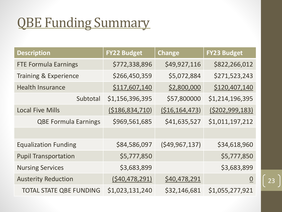# QBE Funding Summary

| <b>Description</b>               | <b>FY22 Budget</b> | <b>Change</b>     | <b>FY23 Budget</b> |
|----------------------------------|--------------------|-------------------|--------------------|
| <b>FTE Formula Earnings</b>      | \$772,338,896      | \$49,927,116      | \$822,266,012      |
| <b>Training &amp; Experience</b> | \$266,450,359      | \$5,072,884       | \$271,523,243      |
| <b>Health Insurance</b>          | \$117,607,140      | \$2,800,000       | \$120,407,140      |
| Subtotal                         | \$1,156,396,395    | \$57,800000       | \$1,214,196,395    |
| <b>Local Five Mills</b>          | (5186, 834, 710)   | ( \$16, 164, 473) | (5202, 999, 183)   |
| <b>QBE Formula Earnings</b>      | \$969,561,685      | \$41,635,527      | \$1,011,197,212    |
|                                  |                    |                   |                    |
| <b>Equalization Funding</b>      | \$84,586,097       | (549, 967, 137)   | \$34,618,960       |
| <b>Pupil Transportation</b>      | \$5,777,850        |                   | \$5,777,850        |
| <b>Nursing Services</b>          | \$3,683,899        |                   | \$3,683,899        |
| <b>Austerity Reduction</b>       | (540, 478, 291)    | \$40,478,291      | $\underline{0}$    |
| <b>TOTAL STATE QBE FUNDING</b>   | \$1,023,131,240    | \$32,146,681      | \$1,055,277,921    |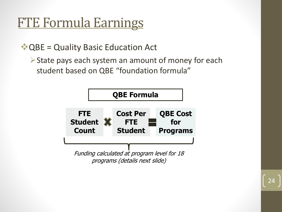### FTE Formula Earnings

❖QBE = Quality Basic Education Act

➢State pays each system an amount of money for each student based on QBE "foundation formula"

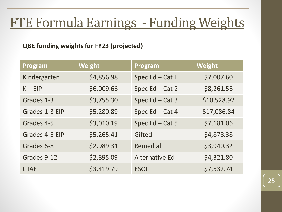# FTE Formula Earnings - Funding Weights

#### **QBE funding weights for FY23 (projected)**

| Program        | <b>Weight</b> | Program               | Weight      |
|----------------|---------------|-----------------------|-------------|
| Kindergarten   | \$4,856.98    | Spec Ed - Cat I       | \$7,007.60  |
| $K - EIP$      | \$6,009.66    | Spec Ed - Cat 2       | \$8,261.56  |
| Grades 1-3     | \$3,755.30    | Spec Ed - Cat 3       | \$10,528.92 |
| Grades 1-3 EIP | \$5,280.89    | Spec Ed - Cat 4       | \$17,086.84 |
| Grades 4-5     | \$3,010.19    | Spec Ed - Cat 5       | \$7,181.06  |
| Grades 4-5 EIP | \$5,265.41    | Gifted                | \$4,878.38  |
| Grades 6-8     | \$2,989.31    | Remedial              | \$3,940.32  |
| Grades 9-12    | \$2,895.09    | <b>Alternative Ed</b> | \$4,321.80  |
| <b>CTAE</b>    | \$3,419.79    | <b>ESOL</b>           | \$7,532.74  |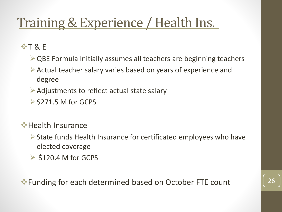### Training & Experience / Health Ins.

❖T & E

- $\triangleright$  QBE Formula Initially assumes all teachers are beginning teachers
- ➢Actual teacher salary varies based on years of experience and degree
- $\triangleright$  Adjustments to reflect actual state salary
- $\ge$  \$271.5 M for GCPS

#### **❖ Health Insurance**

- ➢State funds Health Insurance for certificated employees who have elected coverage
- $\triangleright$  \$120.4 M for GCPS

❖Funding for each determined based on October FTE count 26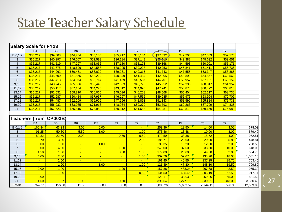#### State Teacher Salary Schedule

|                          | <b>Salary Scale for FY23</b> |                               |                |                |                |                          |                 |                |                |          |          |
|--------------------------|------------------------------|-------------------------------|----------------|----------------|----------------|--------------------------|-----------------|----------------|----------------|----------|----------|
|                          | <b>B4</b>                    | <b>B5</b>                     | <b>B6</b>      | <b>B7</b>      | T1             | T <sub>2</sub>           | 玝               | T <sub>5</sub> | T <sub>6</sub> | T7       |          |
| E, 0, 1, 2               | \$35,217                     | \$39,308                      | \$44,754       | \$50,183       | \$35,217       | \$36,154                 | \$37,092        | \$42,206       | \$47,303       | \$52,176 |          |
| 3                        | \$35,217                     | \$40,397                      | \$46,007       | \$51,598       | \$36,184       | \$37,149                 | <b>\$30,115</b> | \$43,382       | \$48,632       | \$53,651 |          |
| $\overline{\mathcal{L}}$ | \$35,217                     | \$41,519                      | \$47,297       | \$53,056       | \$37,180       | \$38,173                 | \$39,168        | \$44,593       | \$50,001       | \$55,171 |          |
| $\sqrt{5}$               | \$35,217                     | \$42,675                      | \$48,626       | \$54,558       | \$38,205       | \$39,228                 | \$40,253        | \$45,841       | \$51,411       | \$56,736 |          |
| $\,6$                    | \$35,217                     | \$44,262                      | \$50,451       | \$56,620       | \$39,261       | \$40,315                 | \$41,743        | \$47,555       | \$53,347       | \$58,885 |          |
| $\overline{7}$           | \$35,217                     | \$45,500                      | \$51,875       | \$58,229       | \$40,349       | \$41,434                 | \$42,905        | \$48,892       | \$54,857       | \$60,562 |          |
| 8                        | \$35,217                     | \$47,413                      | \$54,074       | \$60,714       | \$41,469       | \$42,587                 | \$44,701        | \$50,957       | \$57,191       | \$63,152 |          |
| 9,10                     | \$35,217                     | \$48,745                      | \$55,606       | \$62,445       | \$42,623       | \$43,775                 | \$45,952        | \$52,396       | \$58,817       | \$64,957 |          |
| 11,12                    | \$35,217                     | \$50,117                      | \$57,184       | \$64,228       | \$43,812       | \$44,998                 | \$47,241        | \$53,878       | \$60,492       | \$66,816 |          |
| 13,14                    | \$35,217                     | \$51,531                      | \$58,810       | \$66,065       | \$45,036       | \$46,258                 | \$48,568        | \$55,404       | \$62,217       | \$68,730 |          |
| 15,16                    | \$35,217                     | \$52,987                      | \$60,484       | \$67,957       | \$46,297       | \$47,556                 | \$49,935        | \$56,976       | \$63,994       | \$70,702 |          |
| 17,18                    | \$35,217                     | \$54,487                      | \$62,209       | \$69,906       | \$47,596       | \$48,893                 | \$51,343        | \$58,595       | \$65,824       | \$72,733 |          |
| 19,20                    | \$35,217                     | \$56,032                      | \$63,985       | \$71,913       | \$48,934       | \$50,270                 | \$52,793        | \$60,263       | \$67,709       | \$74,825 |          |
| $21 +$                   | \$35,217                     | \$57,623                      | \$65,815       | \$73,980       | \$50,312       | \$51,688                 | \$54,287        | \$6,981        | \$69,650       | \$76,980 |          |
|                          |                              |                               |                |                |                |                          |                 |                |                |          |          |
|                          |                              | <b>Teachers (from CP003B)</b> |                |                |                |                          |                 |                |                |          |          |
|                          | <b>B4</b>                    | <b>B5</b>                     | <b>B6</b>      | <b>B7</b>      | T1             | T <sub>2</sub>           | T <sub>4</sub>  | T <sub>5</sub> | T <sub>6</sub> | T7       |          |
| E, 0, 1, 2               | 166.84                       | 63.33                         | 3.00           | 6.00           | $\blacksquare$ | ÷                        | 253.36          | 18.50          | 14.00          | 3.00     | 678.03   |
| 3                        | 91.25                        | 50.80                         | 5.50           | 1.00           | $\blacksquare$ | 1.00                     | 273.46          | 13.48          | 10.00          | 3.00     | 579.49   |
| 4                        | 50.32                        | 22.50                         | 2.00           | $\frac{1}{2}$  | 0.50           | 0.50                     | 470.59          | 33.38          | 18.72          | 4.00     | 952.51   |
| 5                        | 8.70                         | 3.00                          | $\frac{1}{2}$  | $\sim$         | $\blacksquare$ | 2.00                     | 185.71          | 23.60          | 20.00          | 5.80     | 448.81   |
| $\overline{6}$           | 3.00                         | 1.50                          | $\blacksquare$ | 1.00           | $\blacksquare$ | $\blacksquare$           | 83.35           | 15.20          | 12.50          | 2.00     | 208.55   |
| $\overline{7}$           | 8.00                         | 4.00                          | $\sim$         | $\blacksquare$ | 1.00           | $\overline{\phantom{a}}$ | 249.00          | 37.50          | 38.50          | 10.00    | 648.00   |
| 8                        | 4.50                         | 1.50                          | $\blacksquare$ | $\blacksquare$ | 0.50           | 1.00                     | 179.00          | 26.60          | 49.60          | 2.00     | 504.70   |
| 9,10                     | 4.00                         | 2.00                          | $\sim$         | $\blacksquare$ | $\blacksquare$ | 1.00                     | 309.76          | 52.67          | 133.70         | 18.00    | 1,031.13 |
| 11,12                    | $\frac{1}{2}$                | 2.50                          | ÷.             | ÷.             | $\blacksquare$ | $\mathbf{u}$             | 161.45          | 46.55          | 137.25         | 25.70    | 753.45   |
| 13,14                    | $\blacksquare$               | 1.00                          | $\blacksquare$ | 1.00           | $\blacksquare$ | 1.00                     | 121.49          | 47.80          | 148.10         | 19.50    | 709.89   |
| 15,16                    | 2.00                         | 1.00                          | $\blacksquare$ | $\blacksquare$ | 1.00           |                          | 157.88          | 483.24         | 267.68         | 42.50    | 955.30   |
| 17,18                    |                              | 1.00                          | $\blacksquare$ | $\blacksquare$ | $\blacksquare$ | 0.50                     | 134.50          | 425.45         | 303.19         | 52.50    | 917.14   |
| 19,20                    | 2.00                         | a.                            | ÷.             | $\blacksquare$ | $\blacksquare$ |                          | 122.17          | 382.39         | 259.96         | 65.00    | 831.52   |
| $21 +$                   | 1.50                         | 1.87                          | 1.00           | $\sim$         | 0.50           | 1.00                     | 393.54          | 1,277.16       | 1,330.91       | 343.00   | 3,350.48 |
|                          |                              |                               |                |                |                |                          |                 |                |                |          |          |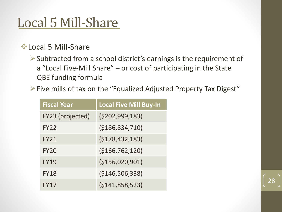### Local 5 Mill-Share

#### ❖Local 5 Mill-Share

➢Subtracted from a school district's earnings is the requirement of a "Local Five-Mill Share" – or cost of participating in the State QBE funding formula

➢Five mills of tax on the "Equalized Adjusted Property Tax Digest"

| <b>Fiscal Year</b> | <b>Local Five Mill Buy-In</b> |
|--------------------|-------------------------------|
| FY23 (projected)   | (5202, 999, 183)              |
| <b>FY22</b>        | ( \$186, 834, 710)            |
| <b>FY21</b>        | (5178, 432, 183)              |
| <b>FY20</b>        | (\$166,762,120)               |
| <b>FY19</b>        | (\$156,020,901)               |
| <b>FY18</b>        | ( \$146, 506, 338)            |
| <b>FY17</b>        | ( \$141, 858, 523)            |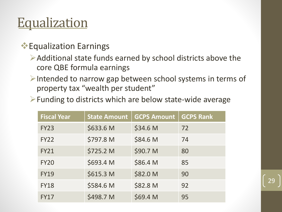#### **Equalization**

#### ❖Equalization Earnings

- $\triangleright$  Additional state funds earned by school districts above the core QBE formula earnings
- ➢Intended to narrow gap between school systems in terms of property tax "wealth per student"
- ➢Funding to districts which are below state-wide average

| <b>Fiscal Year</b> | <b>State Amount</b> | <b>GCPS Amount</b> | <b>GCPS Rank</b> |
|--------------------|---------------------|--------------------|------------------|
| <b>FY23</b>        | \$633.6 M           | \$34.6 M           | 72               |
| <b>FY22</b>        | \$797.8 M           | \$84.6 M           | 74               |
| <b>FY21</b>        | \$725.2 M           | \$90.7 M           | 80               |
| <b>FY20</b>        | \$693.4 M           | \$86.4 M           | 85               |
| <b>FY19</b>        | \$615.3 M           | \$82.0 M           | 90               |
| <b>FY18</b>        | \$584.6 M           | \$82.8 M           | 92               |
| <b>FY17</b>        | \$498.7 M           | \$69.4 M           | 95               |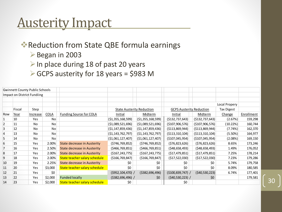#### Austerity Impact

❖Reduction from State QBE formula earnings

- ➢Began in 2003
- $\triangleright$  In place during 18 of past 20 years
- ➢GCPS austerity for 18 years = \$983 M

|     | <b>Gwinnett County Public Schools</b> |            |             |                                    |                                  |                    |                                 |                    |               |            |
|-----|---------------------------------------|------------|-------------|------------------------------------|----------------------------------|--------------------|---------------------------------|--------------------|---------------|------------|
|     | Impact on District Fundiing           |            |             |                                    |                                  |                    |                                 |                    |               |            |
|     |                                       |            |             |                                    |                                  |                    |                                 |                    |               |            |
|     |                                       |            |             |                                    |                                  |                    |                                 |                    | Local Propery |            |
|     | Fiscal                                | Step       |             |                                    | <b>State Austerity Reduction</b> |                    | <b>GCPS Austerity Reduction</b> |                    | Tax Digest    |            |
| Row | Year                                  | Increase   | <b>COLA</b> | Funding Source for COLA            | Initial                          | Midterm            | Initial                         | Midterm            | Change        | Enrollment |
|     | 10                                    | Yes        | No          |                                    | ( \$1,355,168,599)               | ( \$1,355,168,599) | ( \$132, 737, 643)              | ( \$132, 737, 643) | (2.67%)       | 159,298    |
| 2   | 11                                    | No.        | No          |                                    | ( \$1,089,521,696)               | ( \$1,089,521,696) | ( \$107, 906, 576)              | ( \$107, 906, 576) | (10.22%)      | 160,744    |
| 3   | 12                                    | No         | No          |                                    | ( \$1,147,859,436)               | ( \$1,147,859,436) | ( \$113, 869, 944)              | ( \$113, 869, 944) | (7.74%)       | 162,370    |
|     | 13                                    | No.        | No          |                                    | ( \$1,143,762,797)               | ( \$1,143,762,797) | ( \$113, 310, 104)              | ( \$113, 310, 104) | (5.50%)       | 164,977    |
| 5   | 14                                    | No         | No          |                                    | ( \$1,061,127,407)               | ( \$1,061,127,407) | ( \$107,045,954)                | ( \$107,045,954)   | (2.08%)       | 169,150    |
| 6   | 15                                    | <b>Yes</b> | 2.00%       | <b>State decrease in Austerity</b> | (5746, 769, 852)                 | (5746, 769, 852)   | ( \$76, 823, 626)               | (576, 823, 626)    | 8.65%         | 173,246    |
|     | 16                                    | Yes        | 2.50%       | <b>State decrease in Austerity</b> | ( \$466, 769, 851]               | (5466, 769, 851)   | (548, 658, 493)                 | (548, 658, 493)    | 1.49%         | 176,052    |
| 8   | 17                                    | <b>Yes</b> | 2.00%       | <b>State decrease in Austerity</b> | ( \$167, 243, 775)               | ( \$167, 243, 775) | ( \$17,479,851]                 | ( \$17,479,851)    | 7.25%         | 178,214    |
| 9   | 18                                    | Yes        | 2.00%       | State teacher salary schedule      | ( \$166, 769, 847]               | ( \$166, 769, 847) | ( \$17,522,030)                 | ( \$17,522,030)    | 7.23%         | 179,286    |
| 10  | 19                                    | Yes        | 2.25%       | <b>State decrease in Austerity</b> | \$0                              | \$0                | \$0                             | \$0                | 5.74%         | 179,758    |
| 11  | 20                                    | Yes        | \$3,000     | State teacher salary schedule      | \$0                              | \$0                | \$0                             | \$0                | 8.09%         | 180,585    |
| 12  | 21                                    | Yes        | \$0         |                                    | $($ \$952,104,470) /             | ( \$382, 696, 496) | $( $100, 839, 747)$ /           | (540, 530, 223)    | 6.74%         | 177,401    |
| 13  | 22                                    | Yes        | \$2,000     | <b>Funded locally</b>              | $( $382, 696, 496)$ /            | \$0                | $(540, 530, 223)$ /             | \$0                |               | 179,581    |
| 14  | 23                                    | Yes        | \$2,000     | State teacher salary schedule      | \$0                              |                    | \$0                             |                    |               |            |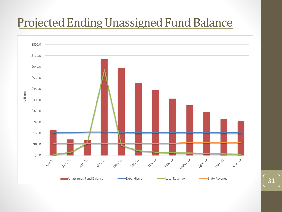#### Projected Ending Unassigned Fund Balance

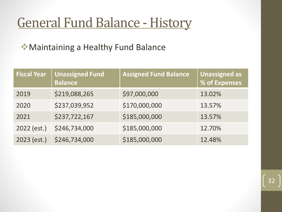### General Fund Balance - History

❖Maintaining a Healthy Fund Balance

| <b>Fiscal Year</b> | <b>Unassigned Fund</b><br><b>Balance</b> | <b>Assigned Fund Balance</b> | <b>Unassigned as</b><br>% of Expenses |
|--------------------|------------------------------------------|------------------------------|---------------------------------------|
| 2019               | \$219,088,265                            | \$97,000,000                 | 13.02%                                |
| 2020               | \$237,039,952                            | \$170,000,000                | 13.57%                                |
| 2021               | \$237,722,167                            | \$185,000,000                | 13.57%                                |
| 2022 (est.)        | \$246,734,000                            | \$185,000,000                | 12.70%                                |
| 2023 (est.)        | \$246,734,000                            | \$185,000,000                | 12.48%                                |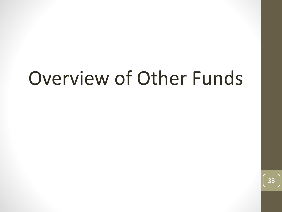# Overview of Other Funds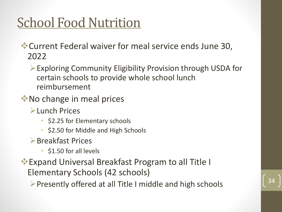# **School Food Nutrition**

❖Current Federal waiver for meal service ends June 30, 2022

➢Exploring Community Eligibility Provision through USDA for certain schools to provide whole school lunch reimbursement

- ❖No change in meal prices
	- ➢Lunch Prices
		- \$2.25 for Elementary schools
		- \$2.50 for Middle and High Schools
	- ➢Breakfast Prices
		- \$1.50 for all levels
- ❖Expand Universal Breakfast Program to all Title I Elementary Schools (42 schools)

 $\triangleright$  Presently offered at all Title I middle and high schools

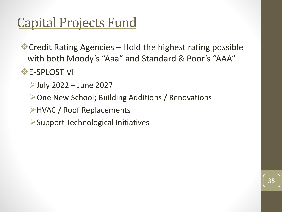#### Capital Projects Fund

❖Credit Rating Agencies – Hold the highest rating possible with both Moody's "Aaa" and Standard & Poor's "AAA"

35

**<sup>❖</sup>E-SPLOST VI** 

 $\blacktriangleright$ July 2022 – June 2027

➢One New School; Building Additions / Renovations

➢HVAC / Roof Replacements

➢Support Technological Initiatives